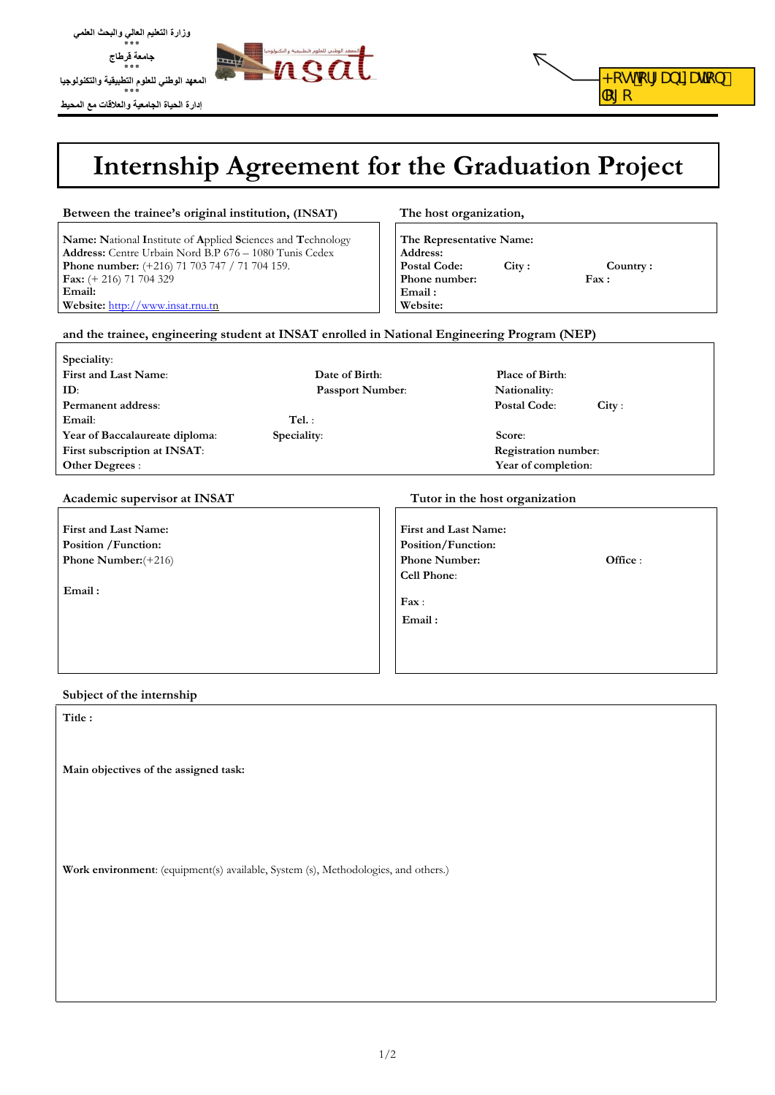

**وزارة التعليم العالي والبحث العلمي ٭٭٭ جامعة قرطاج ٭٭٭**



# **Internship Agreement for the Graduation Project**

|                                                                                                                                                                                                                                                                                                                                                            |                                                                                                     | <b>Internship Agreement for the Graduation Project</b>                                                                                                    |  |
|------------------------------------------------------------------------------------------------------------------------------------------------------------------------------------------------------------------------------------------------------------------------------------------------------------------------------------------------------------|-----------------------------------------------------------------------------------------------------|-----------------------------------------------------------------------------------------------------------------------------------------------------------|--|
| Between the trainee's original institution, (INSAT)                                                                                                                                                                                                                                                                                                        |                                                                                                     | The host organization,<br>The Representative Name:<br>Address:<br><b>Postal Code:</b><br>City:<br>Country:<br>Phone number:<br>Fax:<br>Email:<br>Website: |  |
| Name: National Institute of Applied Sciences and Technology<br>Address: Centre Urbain Nord B.P 676 - 1080 Tunis Cedex<br><b>Phone number:</b> $(+216)$ 71 703 747 / 71 704 159.<br>Fax: $(+ 216)$ 71 704 329<br>Email:<br>Website: http://www.insat.rnu.tn<br>and the trainee, engineering student at INSAT enrolled in National Engineering Program (NEP) |                                                                                                     |                                                                                                                                                           |  |
| Speciality:                                                                                                                                                                                                                                                                                                                                                |                                                                                                     |                                                                                                                                                           |  |
| First and Last Name:<br>ID:<br>Permanent address:<br>Tel.:<br>Email:<br>Speciality:<br>Year of Baccalaureate diploma:<br>First subscription at INSAT:<br>Other Degrees:                                                                                                                                                                                    | Date of Birth:<br>Passport Number:                                                                  | Place of Birth:<br>Nationality:<br>Postal Code:<br>City:<br>Score:<br>Registration number:<br>Year of completion:                                         |  |
| Academic supervisor at INSAT                                                                                                                                                                                                                                                                                                                               |                                                                                                     | Tutor in the host organization                                                                                                                            |  |
| First and Last Name:<br>Position / Function:<br>Phone Number: $(+216)$<br>Email:                                                                                                                                                                                                                                                                           | First and Last Name:<br>Position/Function:<br><b>Phone Number:</b><br>Cell Phone:<br>Fax:<br>Email: | Office:                                                                                                                                                   |  |
| Subject of the internship                                                                                                                                                                                                                                                                                                                                  |                                                                                                     |                                                                                                                                                           |  |
| Title:                                                                                                                                                                                                                                                                                                                                                     |                                                                                                     |                                                                                                                                                           |  |
| Main objectives of the assigned task:                                                                                                                                                                                                                                                                                                                      |                                                                                                     |                                                                                                                                                           |  |
|                                                                                                                                                                                                                                                                                                                                                            |                                                                                                     |                                                                                                                                                           |  |
| Work environment: (equipment(s) available, System (s), Methodologies, and others.)                                                                                                                                                                                                                                                                         |                                                                                                     |                                                                                                                                                           |  |
|                                                                                                                                                                                                                                                                                                                                                            |                                                                                                     |                                                                                                                                                           |  |
|                                                                                                                                                                                                                                                                                                                                                            |                                                                                                     |                                                                                                                                                           |  |

#### **Subject of the internship**